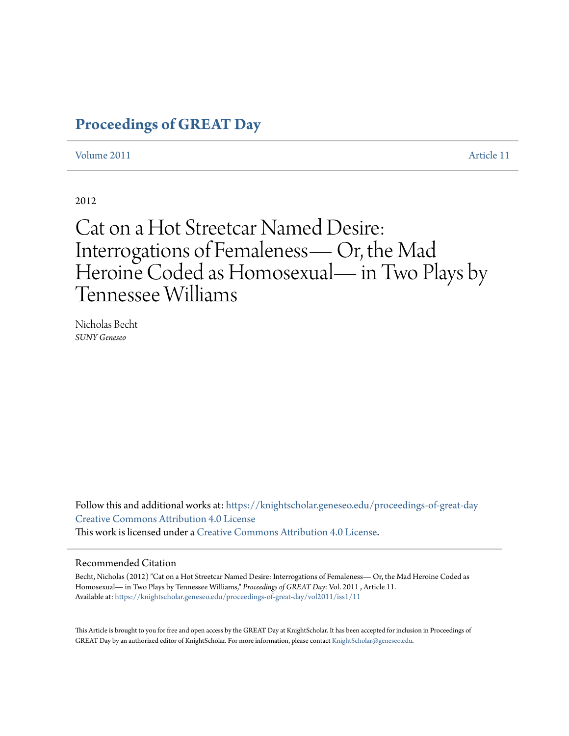# **[Proceedings of GREAT Day](https://knightscholar.geneseo.edu/proceedings-of-great-day?utm_source=knightscholar.geneseo.edu%2Fproceedings-of-great-day%2Fvol2011%2Fiss1%2F11&utm_medium=PDF&utm_campaign=PDFCoverPages)**

[Volume 2011](https://knightscholar.geneseo.edu/proceedings-of-great-day/vol2011?utm_source=knightscholar.geneseo.edu%2Fproceedings-of-great-day%2Fvol2011%2Fiss1%2F11&utm_medium=PDF&utm_campaign=PDFCoverPages) **[Article 11](https://knightscholar.geneseo.edu/proceedings-of-great-day/vol2011/iss1/11?utm_source=knightscholar.geneseo.edu%2Fproceedings-of-great-day%2Fvol2011%2Fiss1%2F11&utm_medium=PDF&utm_campaign=PDFCoverPages)** 

2012

# Cat on a Hot Streetcar Named Desire: Interrogations of Femaleness— Or, the Mad Heroine Coded as Homosexual— in Two Plays by Tennessee Williams

Nicholas Becht *SUNY Geneseo*

Follow this and additional works at: [https://knightscholar.geneseo.edu/proceedings-of-great-day](https://knightscholar.geneseo.edu/proceedings-of-great-day?utm_source=knightscholar.geneseo.edu%2Fproceedings-of-great-day%2Fvol2011%2Fiss1%2F11&utm_medium=PDF&utm_campaign=PDFCoverPages) [Creative Commons Attribution 4.0 License](http://creativecommons.org/licenses/by/4.0/) This work is licensed under a [Creative Commons Attribution 4.0 License.](http://creativecommons.org/licenses/by/4.0/)

#### Recommended Citation

Becht, Nicholas (2012) "Cat on a Hot Streetcar Named Desire: Interrogations of Femaleness— Or, the Mad Heroine Coded as Homosexual— in Two Plays by Tennessee Williams," *Proceedings of GREAT Day*: Vol. 2011 , Article 11. Available at: [https://knightscholar.geneseo.edu/proceedings-of-great-day/vol2011/iss1/11](https://knightscholar.geneseo.edu/proceedings-of-great-day/vol2011/iss1/11?utm_source=knightscholar.geneseo.edu%2Fproceedings-of-great-day%2Fvol2011%2Fiss1%2F11&utm_medium=PDF&utm_campaign=PDFCoverPages)

This Article is brought to you for free and open access by the GREAT Day at KnightScholar. It has been accepted for inclusion in Proceedings of GREAT Day by an authorized editor of KnightScholar. For more information, please contact [KnightScholar@geneseo.edu.](mailto:KnightScholar@geneseo.edu)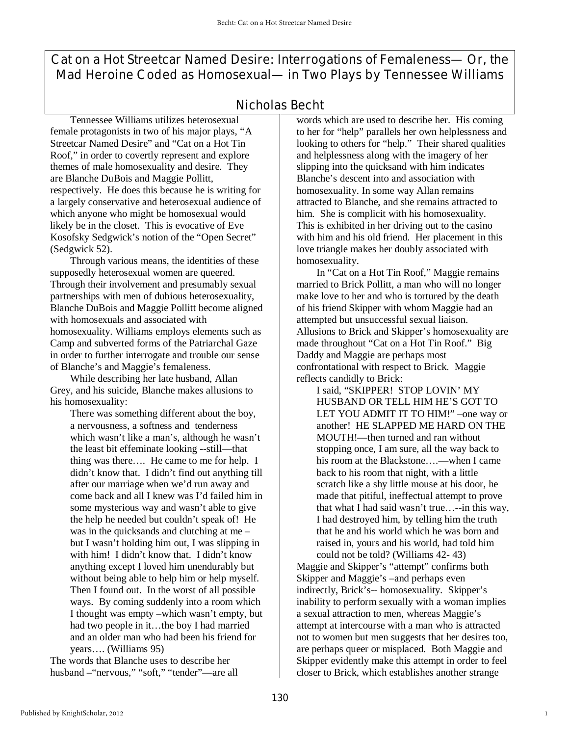Cat on a Hot Streetcar Named Desire: Interrogations of Femaleness— Or, the Mad Heroine Coded as Homosexual— in Two Plays by Tennessee Williams

## Nicholas Becht

Tennessee Williams utilizes heterosexual female protagonists in two of his major plays, "A Streetcar Named Desire" and "Cat on a Hot Tin Roof," in order to covertly represent and explore themes of male homosexuality and desire. They are Blanche DuBois and Maggie Pollitt, respectively. He does this because he is writing for a largely conservative and heterosexual audience of which anyone who might be homosexual would likely be in the closet. This is evocative of Eve Kosofsky Sedgwick's notion of the "Open Secret" (Sedgwick 52).

 Through various means, the identities of these supposedly heterosexual women are queered. Through their involvement and presumably sexual partnerships with men of dubious heterosexuality, Blanche DuBois and Maggie Pollitt become aligned with homosexuals and associated with homosexuality. Williams employs elements such as Camp and subverted forms of the Patriarchal Gaze in order to further interrogate and trouble our sense of Blanche's and Maggie's femaleness.

 While describing her late husband, Allan Grey, and his suicide, Blanche makes allusions to his homosexuality:

There was something different about the boy, a nervousness, a softness and tenderness which wasn't like a man's, although he wasn't the least bit effeminate looking --still—that thing was there…. He came to me for help. I didn't know that. I didn't find out anything till after our marriage when we'd run away and come back and all I knew was I'd failed him in some mysterious way and wasn't able to give the help he needed but couldn't speak of! He was in the quicksands and clutching at me – but I wasn't holding him out, I was slipping in with him! I didn't know that. I didn't know anything except I loved him unendurably but without being able to help him or help myself. Then I found out. In the worst of all possible ways. By coming suddenly into a room which I thought was empty –which wasn't empty, but had two people in it…the boy I had married and an older man who had been his friend for years…. (Williams 95)

The words that Blanche uses to describe her husband –"nervous," "soft," "tender"—are all words which are used to describe her. His coming to her for "help" parallels her own helplessness and looking to others for "help." Their shared qualities and helplessness along with the imagery of her slipping into the quicksand with him indicates Blanche's descent into and association with homosexuality. In some way Allan remains attracted to Blanche, and she remains attracted to him. She is complicit with his homosexuality. This is exhibited in her driving out to the casino with him and his old friend. Her placement in this love triangle makes her doubly associated with homosexuality.

 In "Cat on a Hot Tin Roof," Maggie remains married to Brick Pollitt, a man who will no longer make love to her and who is tortured by the death of his friend Skipper with whom Maggie had an attempted but unsuccessful sexual liaison. Allusions to Brick and Skipper's homosexuality are made throughout "Cat on a Hot Tin Roof." Big Daddy and Maggie are perhaps most confrontational with respect to Brick. Maggie reflects candidly to Brick:

I said, "SKIPPER! STOP LOVIN' MY HUSBAND OR TELL HIM HE'S GOT TO LET YOU ADMIT IT TO HIM!" –one way or another! HE SLAPPED ME HARD ON THE MOUTH!—then turned and ran without stopping once, I am sure, all the way back to his room at the Blackstone….—when I came back to his room that night, with a little scratch like a shy little mouse at his door, he made that pitiful, ineffectual attempt to prove that what I had said wasn't true…--in this way, I had destroyed him, by telling him the truth that he and his world which he was born and raised in, yours and his world, had told him could not be told? (Williams 42- 43)

Maggie and Skipper's "attempt" confirms both Skipper and Maggie's –and perhaps even indirectly, Brick's-- homosexuality. Skipper's inability to perform sexually with a woman implies a sexual attraction to men, whereas Maggie's attempt at intercourse with a man who is attracted not to women but men suggests that her desires too, are perhaps queer or misplaced. Both Maggie and Skipper evidently make this attempt in order to feel closer to Brick, which establishes another strange

1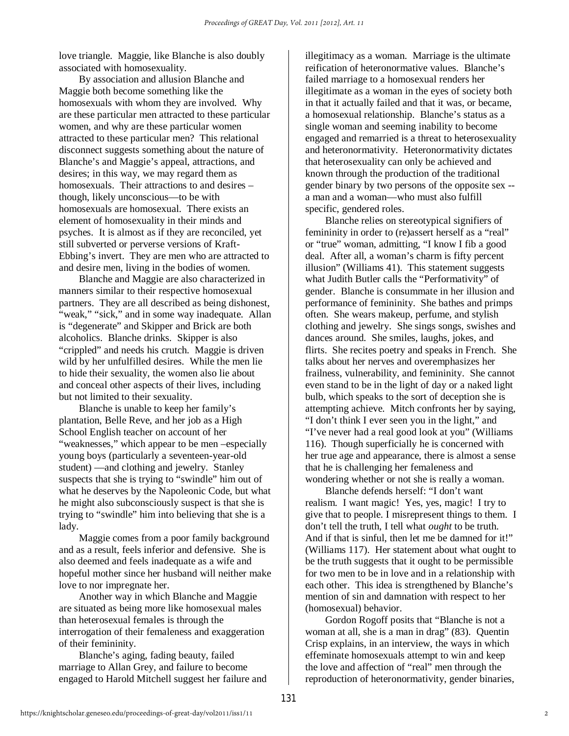love triangle. Maggie, like Blanche is also doubly associated with homosexuality.

 By association and allusion Blanche and Maggie both become something like the homosexuals with whom they are involved. Why are these particular men attracted to these particular women, and why are these particular women attracted to these particular men? This relational disconnect suggests something about the nature of Blanche's and Maggie's appeal, attractions, and desires; in this way, we may regard them as homosexuals. Their attractions to and desires – though, likely unconscious—to be with homosexuals are homosexual. There exists an element of homosexuality in their minds and psyches. It is almost as if they are reconciled, yet still subverted or perverse versions of Kraft-Ebbing's invert. They are men who are attracted to and desire men, living in the bodies of women.

 Blanche and Maggie are also characterized in manners similar to their respective homosexual partners. They are all described as being dishonest, "weak," "sick," and in some way inadequate. Allan is "degenerate" and Skipper and Brick are both alcoholics. Blanche drinks. Skipper is also "crippled" and needs his crutch. Maggie is driven wild by her unfulfilled desires. While the men lie to hide their sexuality, the women also lie about and conceal other aspects of their lives, including but not limited to their sexuality.

 Blanche is unable to keep her family's plantation, Belle Reve, and her job as a High School English teacher on account of her "weaknesses," which appear to be men –especially young boys (particularly a seventeen-year-old student) —and clothing and jewelry. Stanley suspects that she is trying to "swindle" him out of what he deserves by the Napoleonic Code, but what he might also subconsciously suspect is that she is trying to "swindle" him into believing that she is a lady.

 Maggie comes from a poor family background and as a result, feels inferior and defensive. She is also deemed and feels inadequate as a wife and hopeful mother since her husband will neither make love to nor impregnate her.

 Another way in which Blanche and Maggie are situated as being more like homosexual males than heterosexual females is through the interrogation of their femaleness and exaggeration of their femininity.

 Blanche's aging, fading beauty, failed marriage to Allan Grey, and failure to become engaged to Harold Mitchell suggest her failure and illegitimacy as a woman. Marriage is the ultimate reification of heteronormative values. Blanche's failed marriage to a homosexual renders her illegitimate as a woman in the eyes of society both in that it actually failed and that it was, or became, a homosexual relationship. Blanche's status as a single woman and seeming inability to become engaged and remarried is a threat to heterosexuality and heteronormativity. Heteronormativity dictates that heterosexuality can only be achieved and known through the production of the traditional gender binary by two persons of the opposite sex - a man and a woman—who must also fulfill specific, gendered roles.

 Blanche relies on stereotypical signifiers of femininity in order to (re)assert herself as a "real" or "true" woman, admitting, "I know I fib a good deal. After all, a woman's charm is fifty percent illusion" (Williams 41). This statement suggests what Judith Butler calls the "Performativity" of gender. Blanche is consummate in her illusion and performance of femininity. She bathes and primps often. She wears makeup, perfume, and stylish clothing and jewelry. She sings songs, swishes and dances around. She smiles, laughs, jokes, and flirts. She recites poetry and speaks in French. She talks about her nerves and overemphasizes her frailness, vulnerability, and femininity. She cannot even stand to be in the light of day or a naked light bulb, which speaks to the sort of deception she is attempting achieve. Mitch confronts her by saying, "I don't think I ever seen you in the light," and "I've never had a real good look at you" (Williams 116). Though superficially he is concerned with her true age and appearance, there is almost a sense that he is challenging her femaleness and wondering whether or not she is really a woman.

 Blanche defends herself: "I don't want realism. I want magic! Yes, yes, magic! I try to give that to people. I misrepresent things to them. I don't tell the truth, I tell what *ought* to be truth. And if that is sinful, then let me be damned for it!" (Williams 117). Her statement about what ought to be the truth suggests that it ought to be permissible for two men to be in love and in a relationship with each other. This idea is strengthened by Blanche's mention of sin and damnation with respect to her (homosexual) behavior.

 Gordon Rogoff posits that "Blanche is not a woman at all, she is a man in drag" (83). Quentin Crisp explains, in an interview, the ways in which effeminate homosexuals attempt to win and keep the love and affection of "real" men through the reproduction of heteronormativity, gender binaries,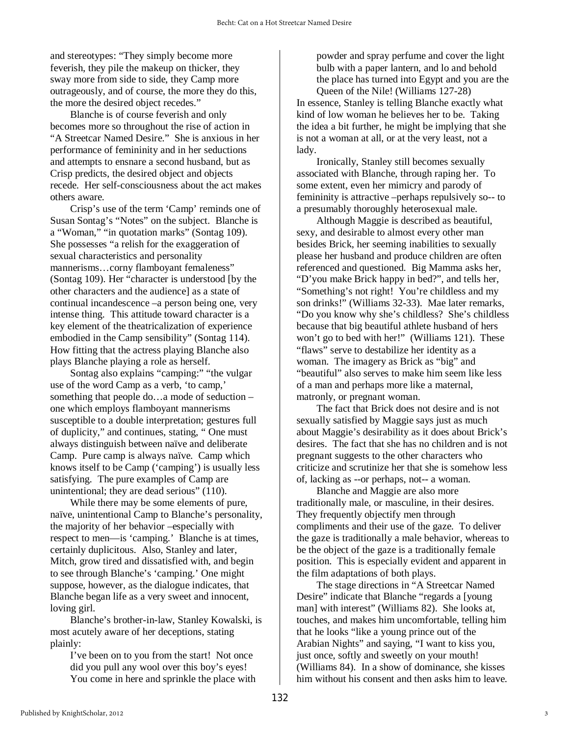and stereotypes: "They simply become more feverish, they pile the makeup on thicker, they sway more from side to side, they Camp more outrageously, and of course, the more they do this, the more the desired object recedes."

 Blanche is of course feverish and only becomes more so throughout the rise of action in "A Streetcar Named Desire." She is anxious in her performance of femininity and in her seductions and attempts to ensnare a second husband, but as Crisp predicts, the desired object and objects recede. Her self-consciousness about the act makes others aware.

 Crisp's use of the term 'Camp' reminds one of Susan Sontag's "Notes" on the subject. Blanche is a "Woman," "in quotation marks" (Sontag 109). She possesses "a relish for the exaggeration of sexual characteristics and personality mannerisms…corny flamboyant femaleness" (Sontag 109). Her "character is understood [by the other characters and the audience] as a state of continual incandescence –a person being one, very intense thing. This attitude toward character is a key element of the theatricalization of experience embodied in the Camp sensibility" (Sontag 114). How fitting that the actress playing Blanche also plays Blanche playing a role as herself.

 Sontag also explains "camping:" "the vulgar use of the word Camp as a verb, 'to camp,' something that people do…a mode of seduction – one which employs flamboyant mannerisms susceptible to a double interpretation; gestures full of duplicity," and continues, stating, " One must always distinguish between naïve and deliberate Camp. Pure camp is always naïve. Camp which knows itself to be Camp ('camping') is usually less satisfying. The pure examples of Camp are unintentional; they are dead serious" (110).

 While there may be some elements of pure, naïve, unintentional Camp to Blanche's personality, the majority of her behavior –especially with respect to men—is 'camping.' Blanche is at times, certainly duplicitous. Also, Stanley and later, Mitch, grow tired and dissatisfied with, and begin to see through Blanche's 'camping.' One might suppose, however, as the dialogue indicates, that Blanche began life as a very sweet and innocent, loving girl.

 Blanche's brother-in-law, Stanley Kowalski, is most acutely aware of her deceptions, stating plainly:

 I've been on to you from the start! Not once did you pull any wool over this boy's eyes! You come in here and sprinkle the place with

powder and spray perfume and cover the light bulb with a paper lantern, and lo and behold the place has turned into Egypt and you are the Queen of the Nile! (Williams 127-28) In essence, Stanley is telling Blanche exactly what kind of low woman he believes her to be. Taking the idea a bit further, he might be implying that she is not a woman at all, or at the very least, not a lady.

 Ironically, Stanley still becomes sexually associated with Blanche, through raping her. To some extent, even her mimicry and parody of femininity is attractive –perhaps repulsively so-- to a presumably thoroughly heterosexual male.

 Although Maggie is described as beautiful, sexy, and desirable to almost every other man besides Brick, her seeming inabilities to sexually please her husband and produce children are often referenced and questioned. Big Mamma asks her, "D'you make Brick happy in bed?", and tells her, "Something's not right! You're childless and my son drinks!" (Williams 32-33). Mae later remarks, "Do you know why she's childless? She's childless because that big beautiful athlete husband of hers won't go to bed with her!" (Williams 121). These "flaws" serve to destabilize her identity as a woman. The imagery as Brick as "big" and "beautiful" also serves to make him seem like less of a man and perhaps more like a maternal, matronly, or pregnant woman.

 The fact that Brick does not desire and is not sexually satisfied by Maggie says just as much about Maggie's desirability as it does about Brick's desires. The fact that she has no children and is not pregnant suggests to the other characters who criticize and scrutinize her that she is somehow less of, lacking as --or perhaps, not-- a woman.

 Blanche and Maggie are also more traditionally male, or masculine, in their desires. They frequently objectify men through compliments and their use of the gaze. To deliver the gaze is traditionally a male behavior, whereas to be the object of the gaze is a traditionally female position. This is especially evident and apparent in the film adaptations of both plays.

 The stage directions in "A Streetcar Named Desire" indicate that Blanche "regards a [young man] with interest" (Williams 82). She looks at, touches, and makes him uncomfortable, telling him that he looks "like a young prince out of the Arabian Nights" and saying, "I want to kiss you, just once, softly and sweetly on your mouth! (Williams 84). In a show of dominance, she kisses him without his consent and then asks him to leave.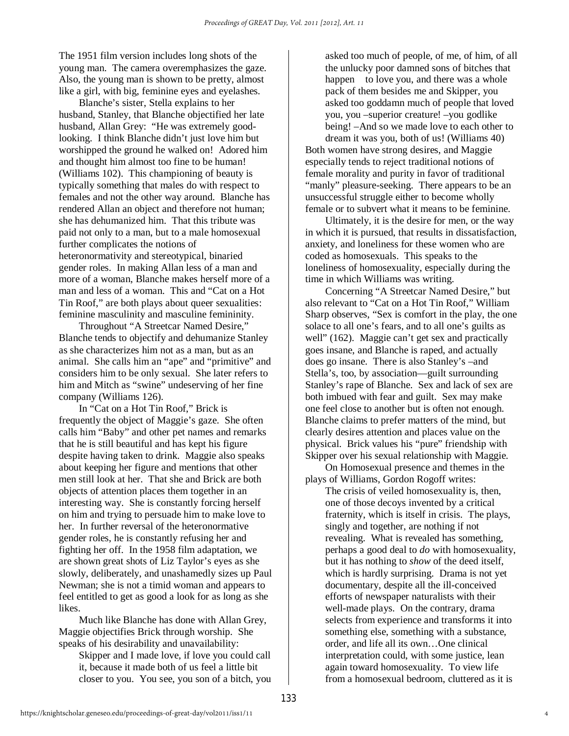The 1951 film version includes long shots of the young man. The camera overemphasizes the gaze. Also, the young man is shown to be pretty, almost like a girl, with big, feminine eyes and eyelashes.

 Blanche's sister, Stella explains to her husband, Stanley, that Blanche objectified her late husband, Allan Grey: "He was extremely goodlooking. I think Blanche didn't just love him but worshipped the ground he walked on! Adored him and thought him almost too fine to be human! (Williams 102). This championing of beauty is typically something that males do with respect to females and not the other way around. Blanche has rendered Allan an object and therefore not human; she has dehumanized him. That this tribute was paid not only to a man, but to a male homosexual further complicates the notions of heteronormativity and stereotypical, binaried gender roles. In making Allan less of a man and more of a woman, Blanche makes herself more of a man and less of a woman. This and "Cat on a Hot Tin Roof," are both plays about queer sexualities: feminine masculinity and masculine femininity.

 Throughout "A Streetcar Named Desire," Blanche tends to objectify and dehumanize Stanley as she characterizes him not as a man, but as an animal. She calls him an "ape" and "primitive" and considers him to be only sexual. She later refers to him and Mitch as "swine" undeserving of her fine company (Williams 126).

 In "Cat on a Hot Tin Roof," Brick is frequently the object of Maggie's gaze. She often calls him "Baby" and other pet names and remarks that he is still beautiful and has kept his figure despite having taken to drink. Maggie also speaks about keeping her figure and mentions that other men still look at her. That she and Brick are both objects of attention places them together in an interesting way. She is constantly forcing herself on him and trying to persuade him to make love to her. In further reversal of the heteronormative gender roles, he is constantly refusing her and fighting her off. In the 1958 film adaptation, we are shown great shots of Liz Taylor's eyes as she slowly, deliberately, and unashamedly sizes up Paul Newman; she is not a timid woman and appears to feel entitled to get as good a look for as long as she likes.

Much like Blanche has done with Allan Grey, Maggie objectifies Brick through worship. She speaks of his desirability and unavailability:

Skipper and I made love, if love you could call it, because it made both of us feel a little bit closer to you. You see, you son of a bitch, you asked too much of people, of me, of him, of all the unlucky poor damned sons of bitches that happen to love you, and there was a whole pack of them besides me and Skipper, you asked too goddamn much of people that loved you, you –superior creature! –you godlike being! –And so we made love to each other to

dream it was you, both of us! (Williams 40) Both women have strong desires, and Maggie especially tends to reject traditional notions of female morality and purity in favor of traditional "manly" pleasure-seeking. There appears to be an unsuccessful struggle either to become wholly female or to subvert what it means to be feminine.

 Ultimately, it is the desire for men, or the way in which it is pursued, that results in dissatisfaction, anxiety, and loneliness for these women who are coded as homosexuals. This speaks to the loneliness of homosexuality, especially during the time in which Williams was writing.

 Concerning "A Streetcar Named Desire," but also relevant to "Cat on a Hot Tin Roof," William Sharp observes, "Sex is comfort in the play, the one solace to all one's fears, and to all one's guilts as well" (162). Maggie can't get sex and practically goes insane, and Blanche is raped, and actually does go insane. There is also Stanley's –and Stella's, too, by association—guilt surrounding Stanley's rape of Blanche. Sex and lack of sex are both imbued with fear and guilt. Sex may make one feel close to another but is often not enough. Blanche claims to prefer matters of the mind, but clearly desires attention and places value on the physical. Brick values his "pure" friendship with Skipper over his sexual relationship with Maggie.

 On Homosexual presence and themes in the plays of Williams, Gordon Rogoff writes:

 The crisis of veiled homosexuality is, then, one of those decoys invented by a critical fraternity, which is itself in crisis. The plays, singly and together, are nothing if not revealing. What is revealed has something, perhaps a good deal to *do* with homosexuality, but it has nothing to *show* of the deed itself, which is hardly surprising. Drama is not yet documentary, despite all the ill-conceived efforts of newspaper naturalists with their well-made plays. On the contrary, drama selects from experience and transforms it into something else, something with a substance, order, and life all its own…One clinical interpretation could, with some justice, lean again toward homosexuality. To view life from a homosexual bedroom, cluttered as it is